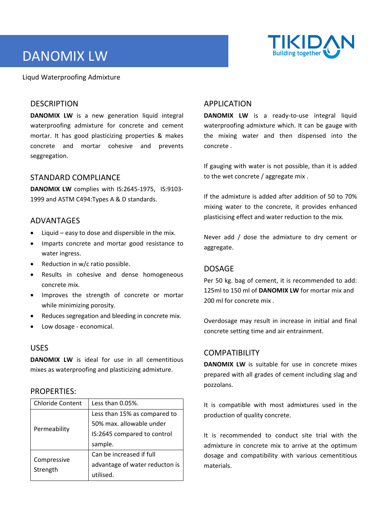# DANOMIX LW



Liqud Waterproofing Admixture

# **DESCRIPTION**

**DANOMIX LW** is a new generation liquid integral waterproofing admixture for concrete and cement mortar. It has good plasticizing properties & makes concrete and mortar cohesive and prevents seggregation.

#### STANDARD COMPLIANCE

**DANOMIX LW** complies with IS:2645‐1975, IS:9103‐ 1999 and ASTM C494:Types A & D standards.

## ADVANTAGES

- Liquid easy to dose and dispersible in the mix.
- Imparts concrete and mortar good resistance to water ingress.
- Reduction in w/c ratio possible.
- Results in cohesive and dense homogeneous concrete mix.
- Improves the strength of concrete or mortar while minimizing porosity.
- Reduces segregation and bleeding in concrete mix.
- Low dosage ‐ economical.

## USES

**DANOMIX LW** is ideal for use in all cementitious mixes as waterproofing and plasticizing admixture.

#### PROPERTIES:

| <b>Chloride Content</b> | Less than 0.05%.               |
|-------------------------|--------------------------------|
| Permeability            | Less than 15% as compared to   |
|                         | 50% max. allowable under       |
|                         | IS:2645 compared to control    |
|                         | sample.                        |
| Compressive<br>Strength | Can be increased if full       |
|                         | advantage of water reducton is |
|                         | utilised.                      |

# APPLICATION

**DANOMIX LW** is a ready-to-use integral liquid waterproofing admixture which. It can be gauge with the mixing water and then dispensed into the concrete .

If gauging with water is not possible, than it is added to the wet concrete / aggregate mix .

If the admixture is added after addition of 50 to 70% mixing water to the concrete, it provides enhanced plasticising effect and water reduction to the mix.

Never add / dose the admixture to dry cement or aggregate.

## DOSAGE

Per 50 kg. bag of cement, it is recommended to add: 125ml to 150 ml of **DANOMIX LW** for mortar mix and 200 ml for concrete mix .

Overdosage may result in increase in initial and final concrete setting time and air entrainment.

## COMPATIBILITY

**DANOMIX LW** is suitable for use in concrete mixes prepared with all grades of cement including slag and pozzolans.

It is compatible with most admixtures used in the production of quality concrete.

It is recommended to conduct site trial with the admixture in concrete mix to arrive at the optimum dosage and compatibility with various cementitious materials.